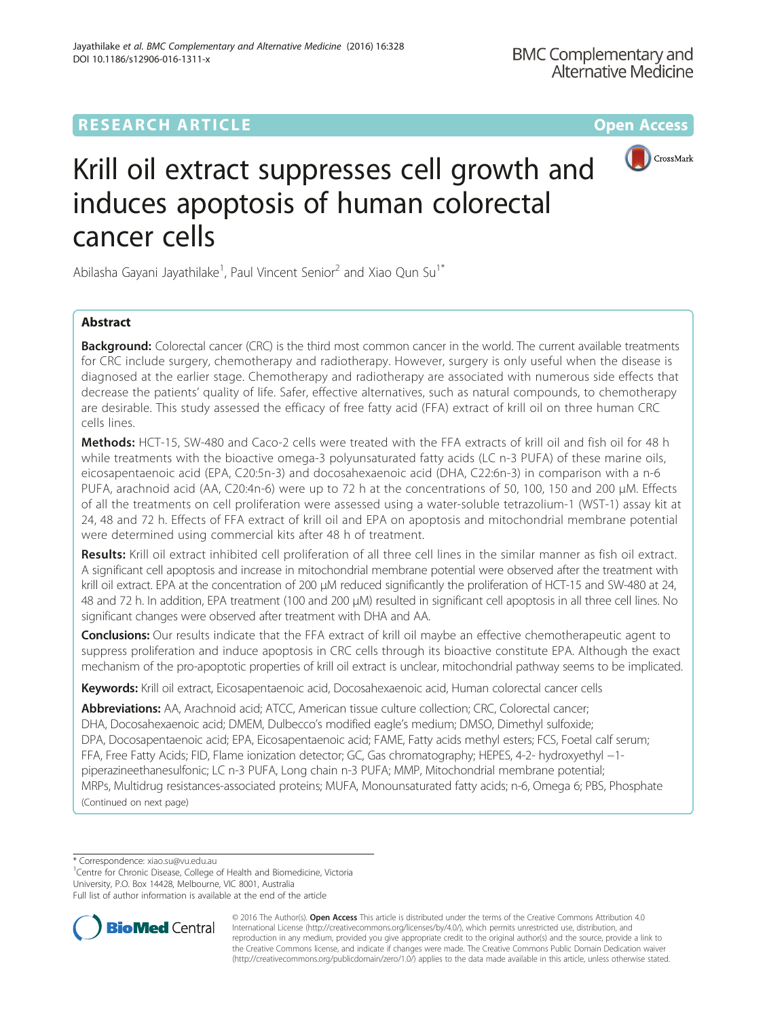## **RESEARCH ARTICLE Example 2014 12:30 The Community Community Community Community Community Community Community**



# Krill oil extract suppresses cell growth and induces apoptosis of human colorectal cancer cells

Abilasha Gayani Jayathilake<sup>1</sup>, Paul Vincent Senior<sup>2</sup> and Xiao Qun Su<sup>1\*</sup>

## Abstract

**Background:** Colorectal cancer (CRC) is the third most common cancer in the world. The current available treatments for CRC include surgery, chemotherapy and radiotherapy. However, surgery is only useful when the disease is diagnosed at the earlier stage. Chemotherapy and radiotherapy are associated with numerous side effects that decrease the patients' quality of life. Safer, effective alternatives, such as natural compounds, to chemotherapy are desirable. This study assessed the efficacy of free fatty acid (FFA) extract of krill oil on three human CRC cells lines.

Methods: HCT-15, SW-480 and Caco-2 cells were treated with the FFA extracts of krill oil and fish oil for 48 h while treatments with the bioactive omega-3 polyunsaturated fatty acids (LC n-3 PUFA) of these marine oils, eicosapentaenoic acid (EPA, C20:5n-3) and docosahexaenoic acid (DHA, C22:6n-3) in comparison with a n-6 PUFA, arachnoid acid (AA, C20:4n-6) were up to 72 h at the concentrations of 50, 100, 150 and 200 μM. Effects of all the treatments on cell proliferation were assessed using a water-soluble tetrazolium-1 (WST-1) assay kit at 24, 48 and 72 h. Effects of FFA extract of krill oil and EPA on apoptosis and mitochondrial membrane potential were determined using commercial kits after 48 h of treatment.

Results: Krill oil extract inhibited cell proliferation of all three cell lines in the similar manner as fish oil extract. A significant cell apoptosis and increase in mitochondrial membrane potential were observed after the treatment with krill oil extract. EPA at the concentration of 200 μM reduced significantly the proliferation of HCT-15 and SW-480 at 24, 48 and 72 h. In addition, EPA treatment (100 and 200 μM) resulted in significant cell apoptosis in all three cell lines. No significant changes were observed after treatment with DHA and AA.

Conclusions: Our results indicate that the FFA extract of krill oil maybe an effective chemotherapeutic agent to suppress proliferation and induce apoptosis in CRC cells through its bioactive constitute EPA. Although the exact mechanism of the pro-apoptotic properties of krill oil extract is unclear, mitochondrial pathway seems to be implicated.

Keywords: Krill oil extract, Eicosapentaenoic acid, Docosahexaenoic acid, Human colorectal cancer cells

Abbreviations: AA, Arachnoid acid; ATCC, American tissue culture collection; CRC, Colorectal cancer; DHA, Docosahexaenoic acid; DMEM, Dulbecco's modified eagle's medium; DMSO, Dimethyl sulfoxide; DPA, Docosapentaenoic acid; EPA, Eicosapentaenoic acid; FAME, Fatty acids methyl esters; FCS, Foetal calf serum; FFA, Free Fatty Acids; FID, Flame ionization detector; GC, Gas chromatography; HEPES, 4-2- hydroxyethyl −1 piperazineethanesulfonic; LC n-3 PUFA, Long chain n-3 PUFA; MMP, Mitochondrial membrane potential; MRPs, Multidrug resistances-associated proteins; MUFA, Monounsaturated fatty acids; n-6, Omega 6; PBS, Phosphate (Continued on next page)

\* Correspondence: [xiao.su@vu.edu.au](mailto:xiao.su@vu.edu.au) <sup>1</sup>

<sup>1</sup> Centre for Chronic Disease, College of Health and Biomedicine, Victoria

University, P.O. Box 14428, Melbourne, VIC 8001, Australia Full list of author information is available at the end of the article



© 2016 The Author(s). Open Access This article is distributed under the terms of the Creative Commons Attribution 4.0 International License [\(http://creativecommons.org/licenses/by/4.0/](http://creativecommons.org/licenses/by/4.0/)), which permits unrestricted use, distribution, and reproduction in any medium, provided you give appropriate credit to the original author(s) and the source, provide a link to the Creative Commons license, and indicate if changes were made. The Creative Commons Public Domain Dedication waiver [\(http://creativecommons.org/publicdomain/zero/1.0/](http://creativecommons.org/publicdomain/zero/1.0/)) applies to the data made available in this article, unless otherwise stated.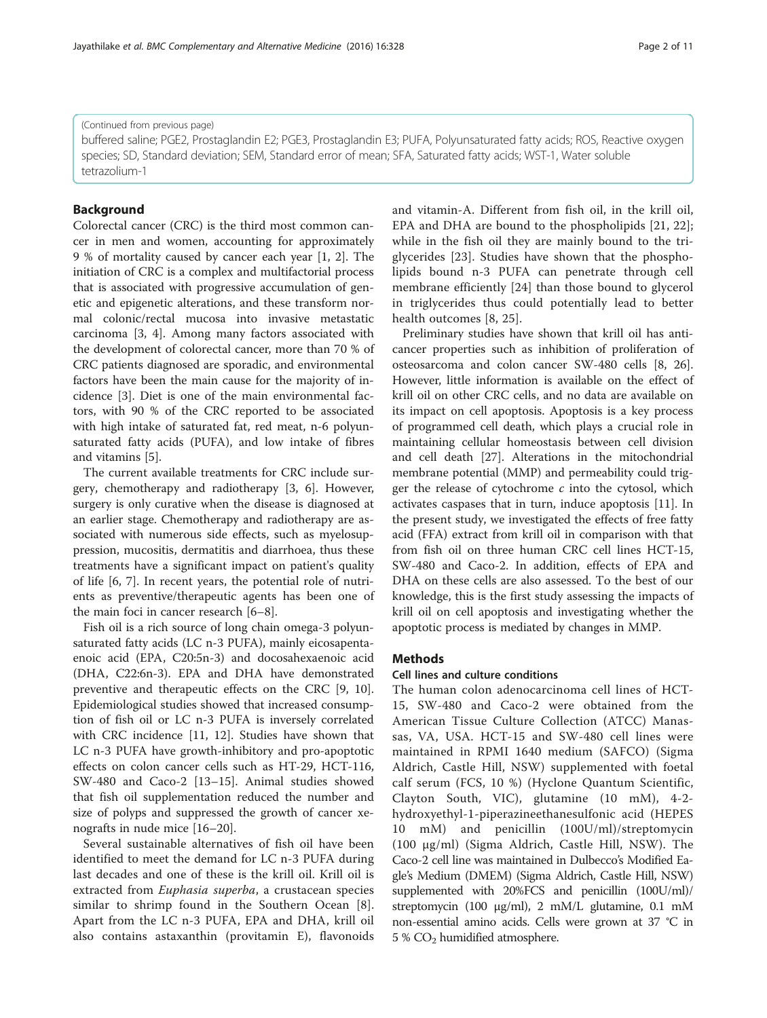9 % of mortality caused by cancer each year [[1, 2](#page-9-0)]. The initiation of CRC is a complex and multifactorial process that is associated with progressive accumulation of genetic and epigenetic alterations, and these transform normal colonic/rectal mucosa into invasive metastatic carcinoma [[3, 4](#page-9-0)]. Among many factors associated with the development of colorectal cancer, more than 70 % of CRC patients diagnosed are sporadic, and environmental factors have been the main cause for the majority of incidence [[3](#page-9-0)]. Diet is one of the main environmental factors, with 90 % of the CRC reported to be associated with high intake of saturated fat, red meat, n-6 polyunsaturated fatty acids (PUFA), and low intake of fibres and vitamins [\[5](#page-9-0)].

Colorectal cancer (CRC) is the third most common cancer in men and women, accounting for approximately

The current available treatments for CRC include surgery, chemotherapy and radiotherapy [[3, 6\]](#page-9-0). However, surgery is only curative when the disease is diagnosed at an earlier stage. Chemotherapy and radiotherapy are associated with numerous side effects, such as myelosuppression, mucositis, dermatitis and diarrhoea, thus these treatments have a significant impact on patient's quality of life [\[6](#page-9-0), [7\]](#page-9-0). In recent years, the potential role of nutrients as preventive/therapeutic agents has been one of the main foci in cancer research [[6](#page-9-0)–[8](#page-9-0)].

Fish oil is a rich source of long chain omega-3 polyunsaturated fatty acids (LC n-3 PUFA), mainly eicosapentaenoic acid (EPA, C20:5n-3) and docosahexaenoic acid (DHA, C22:6n-3). EPA and DHA have demonstrated preventive and therapeutic effects on the CRC [[9, 10](#page-9-0)]. Epidemiological studies showed that increased consumption of fish oil or LC n-3 PUFA is inversely correlated with CRC incidence [[11, 12](#page-9-0)]. Studies have shown that LC n-3 PUFA have growth-inhibitory and pro-apoptotic effects on colon cancer cells such as HT-29, HCT-116, SW-480 and Caco-2 [[13](#page-9-0)–[15](#page-9-0)]. Animal studies showed that fish oil supplementation reduced the number and size of polyps and suppressed the growth of cancer xenografts in nude mice [[16](#page-9-0)–[20](#page-9-0)].

Several sustainable alternatives of fish oil have been identified to meet the demand for LC n-3 PUFA during last decades and one of these is the krill oil. Krill oil is extracted from Euphasia superba, a crustacean species similar to shrimp found in the Southern Ocean [\[8](#page-9-0)]. Apart from the LC n-3 PUFA, EPA and DHA, krill oil also contains astaxanthin (provitamin E), flavonoids and vitamin-A. Different from fish oil, in the krill oil, EPA and DHA are bound to the phospholipids [[21, 22](#page-9-0)]; while in the fish oil they are mainly bound to the triglycerides [\[23](#page-9-0)]. Studies have shown that the phospholipids bound n-3 PUFA can penetrate through cell membrane efficiently [[24\]](#page-9-0) than those bound to glycerol in triglycerides thus could potentially lead to better health outcomes [[8, 25](#page-9-0)].

Preliminary studies have shown that krill oil has anticancer properties such as inhibition of proliferation of osteosarcoma and colon cancer SW-480 cells [[8, 26](#page-9-0)]. However, little information is available on the effect of krill oil on other CRC cells, and no data are available on its impact on cell apoptosis. Apoptosis is a key process of programmed cell death, which plays a crucial role in maintaining cellular homeostasis between cell division and cell death [[27](#page-9-0)]. Alterations in the mitochondrial membrane potential (MMP) and permeability could trigger the release of cytochrome  $c$  into the cytosol, which activates caspases that in turn, induce apoptosis [\[11\]](#page-9-0). In the present study, we investigated the effects of free fatty acid (FFA) extract from krill oil in comparison with that from fish oil on three human CRC cell lines HCT-15, SW-480 and Caco-2. In addition, effects of EPA and DHA on these cells are also assessed. To the best of our knowledge, this is the first study assessing the impacts of krill oil on cell apoptosis and investigating whether the apoptotic process is mediated by changes in MMP.

## **Methods**

### Cell lines and culture conditions

The human colon adenocarcinoma cell lines of HCT-15, SW-480 and Caco-2 were obtained from the American Tissue Culture Collection (ATCC) Manassas, VA, USA. HCT-15 and SW-480 cell lines were maintained in RPMI 1640 medium (SAFCO) (Sigma Aldrich, Castle Hill, NSW) supplemented with foetal calf serum (FCS, 10 %) (Hyclone Quantum Scientific, Clayton South, VIC), glutamine (10 mM), 4-2 hydroxyethyl-1-piperazineethanesulfonic acid (HEPES 10 mM) and penicillin (100U/ml)/streptomycin (100 μg/ml) (Sigma Aldrich, Castle Hill, NSW). The Caco-2 cell line was maintained in Dulbecco's Modified Eagle's Medium (DMEM) (Sigma Aldrich, Castle Hill, NSW) supplemented with 20%FCS and penicillin (100U/ml)/ streptomycin (100 μg/ml), 2 mM/L glutamine, 0.1 mM non-essential amino acids. Cells were grown at 37 °C in 5 %  $CO<sub>2</sub>$  humidified atmosphere.

## (Continued from previous page)

Background

buffered saline; PGE2, Prostaglandin E2; PGE3, Prostaglandin E3; PUFA, Polyunsaturated fatty acids; ROS, Reactive oxygen species; SD, Standard deviation; SEM, Standard error of mean; SFA, Saturated fatty acids; WST-1, Water soluble tetrazolium-1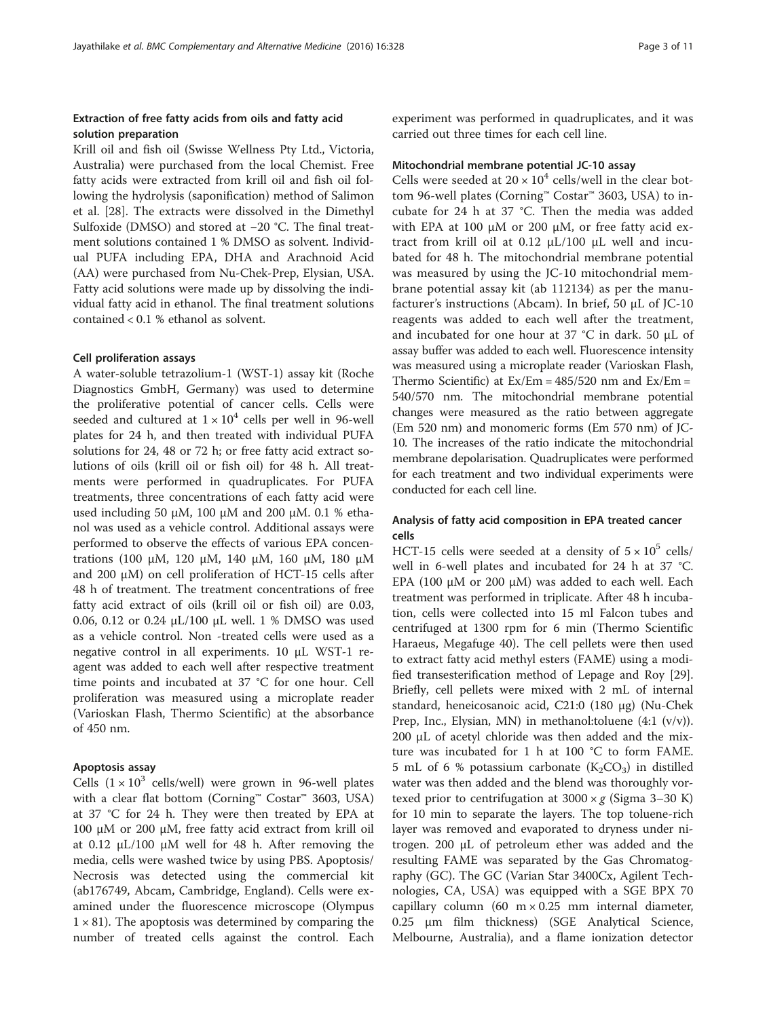## Extraction of free fatty acids from oils and fatty acid solution preparation

Krill oil and fish oil (Swisse Wellness Pty Ltd., Victoria, Australia) were purchased from the local Chemist. Free fatty acids were extracted from krill oil and fish oil following the hydrolysis (saponification) method of Salimon et al. [\[28](#page-9-0)]. The extracts were dissolved in the Dimethyl Sulfoxide (DMSO) and stored at −20 °C. The final treatment solutions contained 1 % DMSO as solvent. Individual PUFA including EPA, DHA and Arachnoid Acid (AA) were purchased from Nu-Chek-Prep, Elysian, USA. Fatty acid solutions were made up by dissolving the individual fatty acid in ethanol. The final treatment solutions contained < 0.1 % ethanol as solvent.

## Cell proliferation assays

A water-soluble tetrazolium-1 (WST-1) assay kit (Roche Diagnostics GmbH, Germany) was used to determine the proliferative potential of cancer cells. Cells were seeded and cultured at  $1 \times 10^4$  cells per well in 96-well plates for 24 h, and then treated with individual PUFA solutions for 24, 48 or 72 h; or free fatty acid extract solutions of oils (krill oil or fish oil) for 48 h. All treatments were performed in quadruplicates. For PUFA treatments, three concentrations of each fatty acid were used including 50 μM, 100 μM and 200 μM. 0.1 % ethanol was used as a vehicle control. Additional assays were performed to observe the effects of various EPA concentrations (100 μM, 120 μM, 140 μM, 160 μM, 180 μM and 200 μM) on cell proliferation of HCT-15 cells after 48 h of treatment. The treatment concentrations of free fatty acid extract of oils (krill oil or fish oil) are 0.03, 0.06, 0.12 or 0.24 μL/100 μL well. 1 % DMSO was used as a vehicle control. Non -treated cells were used as a negative control in all experiments. 10 μL WST-1 reagent was added to each well after respective treatment time points and incubated at 37 °C for one hour. Cell proliferation was measured using a microplate reader (Varioskan Flash, Thermo Scientific) at the absorbance of 450 nm.

## Apoptosis assay

Cells  $(1 \times 10^3 \text{ cells/well})$  were grown in 96-well plates with a clear flat bottom (Corning™ Costar™ 3603, USA) at 37 °C for 24 h. They were then treated by EPA at 100 μM or 200 μM, free fatty acid extract from krill oil at 0.12  $\mu$ L/100  $\mu$ M well for 48 h. After removing the media, cells were washed twice by using PBS. Apoptosis/ Necrosis was detected using the commercial kit (ab176749, Abcam, Cambridge, England). Cells were examined under the fluorescence microscope (Olympus  $1 \times 81$ ). The apoptosis was determined by comparing the number of treated cells against the control. Each experiment was performed in quadruplicates, and it was carried out three times for each cell line.

## Mitochondrial membrane potential JC-10 assay

Cells were seeded at  $20 \times 10^4$  cells/well in the clear bottom 96-well plates (Corning™ Costar™ 3603, USA) to incubate for 24 h at 37 °C. Then the media was added with EPA at 100 μM or 200 μM, or free fatty acid extract from krill oil at 0.12 μL/100 μL well and incubated for 48 h. The mitochondrial membrane potential was measured by using the JC-10 mitochondrial membrane potential assay kit (ab 112134) as per the manufacturer's instructions (Abcam). In brief, 50 μL of JC-10 reagents was added to each well after the treatment, and incubated for one hour at 37 °C in dark. 50 μL of assay buffer was added to each well. Fluorescence intensity was measured using a microplate reader (Varioskan Flash, Thermo Scientific) at  $Ex/Em = 485/520$  nm and  $Ex/Em =$ 540/570 nm. The mitochondrial membrane potential changes were measured as the ratio between aggregate (Em 520 nm) and monomeric forms (Em 570 nm) of JC-10. The increases of the ratio indicate the mitochondrial membrane depolarisation. Quadruplicates were performed for each treatment and two individual experiments were conducted for each cell line.

## Analysis of fatty acid composition in EPA treated cancer cells

HCT-15 cells were seeded at a density of  $5 \times 10^5$  cells/ well in 6-well plates and incubated for 24 h at 37 °C. EPA (100 μM or 200 μM) was added to each well. Each treatment was performed in triplicate. After 48 h incubation, cells were collected into 15 ml Falcon tubes and centrifuged at 1300 rpm for 6 min (Thermo Scientific Haraeus, Megafuge 40). The cell pellets were then used to extract fatty acid methyl esters (FAME) using a modified transesterification method of Lepage and Roy [\[29](#page-9-0)]. Briefly, cell pellets were mixed with 2 mL of internal standard, heneicosanoic acid, C21:0 (180 μg) (Nu-Chek Prep, Inc., Elysian, MN) in methanol:toluene (4:1 (v/v)). 200 μL of acetyl chloride was then added and the mixture was incubated for 1 h at 100 °C to form FAME. 5 mL of 6 % potassium carbonate  $(K_2CO_3)$  in distilled water was then added and the blend was thoroughly vortexed prior to centrifugation at  $3000 \times g$  (Sigma 3-30 K) for 10 min to separate the layers. The top toluene-rich layer was removed and evaporated to dryness under nitrogen. 200 μL of petroleum ether was added and the resulting FAME was separated by the Gas Chromatography (GC). The GC (Varian Star 3400Cx, Agilent Technologies, CA, USA) was equipped with a SGE BPX 70 capillary column (60  $m \times 0.25$  mm internal diameter, 0.25 μm film thickness) (SGE Analytical Science, Melbourne, Australia), and a flame ionization detector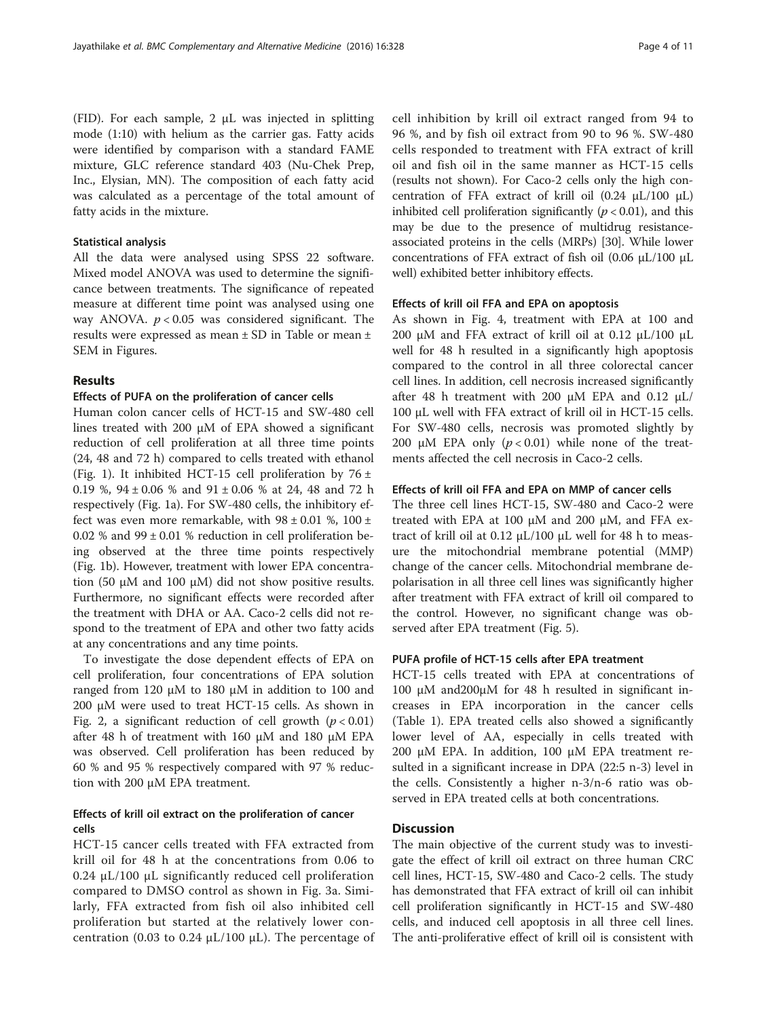(FID). For each sample, 2 μL was injected in splitting mode (1:10) with helium as the carrier gas. Fatty acids were identified by comparison with a standard FAME mixture, GLC reference standard 403 (Nu-Chek Prep, Inc., Elysian, MN). The composition of each fatty acid was calculated as a percentage of the total amount of fatty acids in the mixture.

## Statistical analysis

All the data were analysed using SPSS 22 software. Mixed model ANOVA was used to determine the significance between treatments. The significance of repeated measure at different time point was analysed using one way ANOVA.  $p < 0.05$  was considered significant. The results were expressed as mean ± SD in Table or mean ± SEM in Figures.

## Results

## Effects of PUFA on the proliferation of cancer cells

Human colon cancer cells of HCT-15 and SW-480 cell lines treated with 200 μM of EPA showed a significant reduction of cell proliferation at all three time points (24, 48 and 72 h) compared to cells treated with ethanol (Fig. [1\)](#page-4-0). It inhibited HCT-15 cell proliferation by  $76 \pm$ 0.19 %, 94 ± 0.06 % and 91 ± 0.06 % at 24, 48 and 72 h respectively (Fig. [1a](#page-4-0)). For SW-480 cells, the inhibitory effect was even more remarkable, with  $98 \pm 0.01$  %,  $100 \pm$ 0.02 % and  $99 \pm 0.01$  % reduction in cell proliferation being observed at the three time points respectively (Fig. [1b](#page-4-0)). However, treatment with lower EPA concentration (50 μM and 100 μM) did not show positive results. Furthermore, no significant effects were recorded after the treatment with DHA or AA. Caco-2 cells did not respond to the treatment of EPA and other two fatty acids at any concentrations and any time points.

To investigate the dose dependent effects of EPA on cell proliferation, four concentrations of EPA solution ranged from 120 μM to 180 μM in addition to 100 and 200 μM were used to treat HCT-15 cells. As shown in Fig. [2,](#page-5-0) a significant reduction of cell growth  $(p < 0.01)$ after 48 h of treatment with 160 μM and 180 μM EPA was observed. Cell proliferation has been reduced by 60 % and 95 % respectively compared with 97 % reduction with 200 μM EPA treatment.

## Effects of krill oil extract on the proliferation of cancer cells

HCT-15 cancer cells treated with FFA extracted from krill oil for 48 h at the concentrations from 0.06 to 0.24 μL/100 μL significantly reduced cell proliferation compared to DMSO control as shown in Fig. [3a](#page-6-0). Similarly, FFA extracted from fish oil also inhibited cell proliferation but started at the relatively lower concentration (0.03 to 0.24  $μL/100 μL$ ). The percentage of cell inhibition by krill oil extract ranged from 94 to 96 %, and by fish oil extract from 90 to 96 %. SW-480 cells responded to treatment with FFA extract of krill oil and fish oil in the same manner as HCT-15 cells (results not shown). For Caco-2 cells only the high concentration of FFA extract of krill oil (0.24 μL/100 μL) inhibited cell proliferation significantly  $(p < 0.01)$ , and this may be due to the presence of multidrug resistanceassociated proteins in the cells (MRPs) [\[30\]](#page-9-0). While lower concentrations of FFA extract of fish oil (0.06 μL/100 μL well) exhibited better inhibitory effects.

## Effects of krill oil FFA and EPA on apoptosis

As shown in Fig. [4](#page-7-0), treatment with EPA at 100 and 200 μM and FFA extract of krill oil at 0.12 μL/100 μL well for 48 h resulted in a significantly high apoptosis compared to the control in all three colorectal cancer cell lines. In addition, cell necrosis increased significantly after 48 h treatment with 200 μM EPA and 0.12 μL/ 100 μL well with FFA extract of krill oil in HCT-15 cells. For SW-480 cells, necrosis was promoted slightly by 200 μM EPA only  $(p < 0.01)$  while none of the treatments affected the cell necrosis in Caco-2 cells.

## Effects of krill oil FFA and EPA on MMP of cancer cells

The three cell lines HCT-15, SW-480 and Caco-2 were treated with EPA at 100 μM and 200 μM, and FFA extract of krill oil at 0.12 μL/100 μL well for 48 h to measure the mitochondrial membrane potential (MMP) change of the cancer cells. Mitochondrial membrane depolarisation in all three cell lines was significantly higher after treatment with FFA extract of krill oil compared to the control. However, no significant change was observed after EPA treatment (Fig. [5](#page-8-0)).

## PUFA profile of HCT-15 cells after EPA treatment

HCT-15 cells treated with EPA at concentrations of 100 μM and200μM for 48 h resulted in significant increases in EPA incorporation in the cancer cells (Table [1](#page-8-0)). EPA treated cells also showed a significantly lower level of AA, especially in cells treated with 200 μM EPA. In addition, 100 μM EPA treatment resulted in a significant increase in DPA (22:5 n-3) level in the cells. Consistently a higher n-3/n-6 ratio was observed in EPA treated cells at both concentrations.

## **Discussion**

The main objective of the current study was to investigate the effect of krill oil extract on three human CRC cell lines, HCT-15, SW-480 and Caco-2 cells. The study has demonstrated that FFA extract of krill oil can inhibit cell proliferation significantly in HCT-15 and SW-480 cells, and induced cell apoptosis in all three cell lines. The anti-proliferative effect of krill oil is consistent with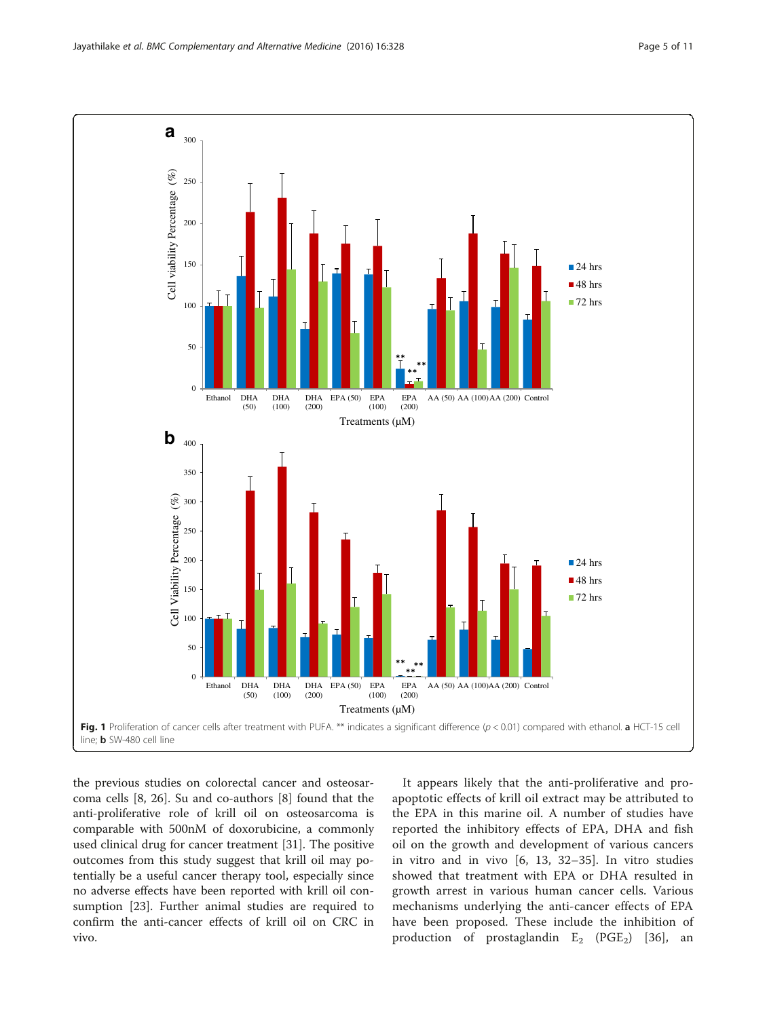<span id="page-4-0"></span>

the previous studies on colorectal cancer and osteosarcoma cells [[8, 26](#page-9-0)]. Su and co-authors [[8\]](#page-9-0) found that the anti-proliferative role of krill oil on osteosarcoma is comparable with 500nM of doxorubicine, a commonly used clinical drug for cancer treatment [\[31\]](#page-9-0). The positive outcomes from this study suggest that krill oil may potentially be a useful cancer therapy tool, especially since no adverse effects have been reported with krill oil consumption [[23](#page-9-0)]. Further animal studies are required to confirm the anti-cancer effects of krill oil on CRC in vivo.

It appears likely that the anti-proliferative and proapoptotic effects of krill oil extract may be attributed to the EPA in this marine oil. A number of studies have reported the inhibitory effects of EPA, DHA and fish oil on the growth and development of various cancers in vitro and in vivo [\[6](#page-9-0), [13,](#page-9-0) [32](#page-10-0)–[35\]](#page-10-0). In vitro studies showed that treatment with EPA or DHA resulted in growth arrest in various human cancer cells. Various mechanisms underlying the anti-cancer effects of EPA have been proposed. These include the inhibition of production of prostaglandin  $E_2$  (PGE<sub>2</sub>) [[36\]](#page-10-0), an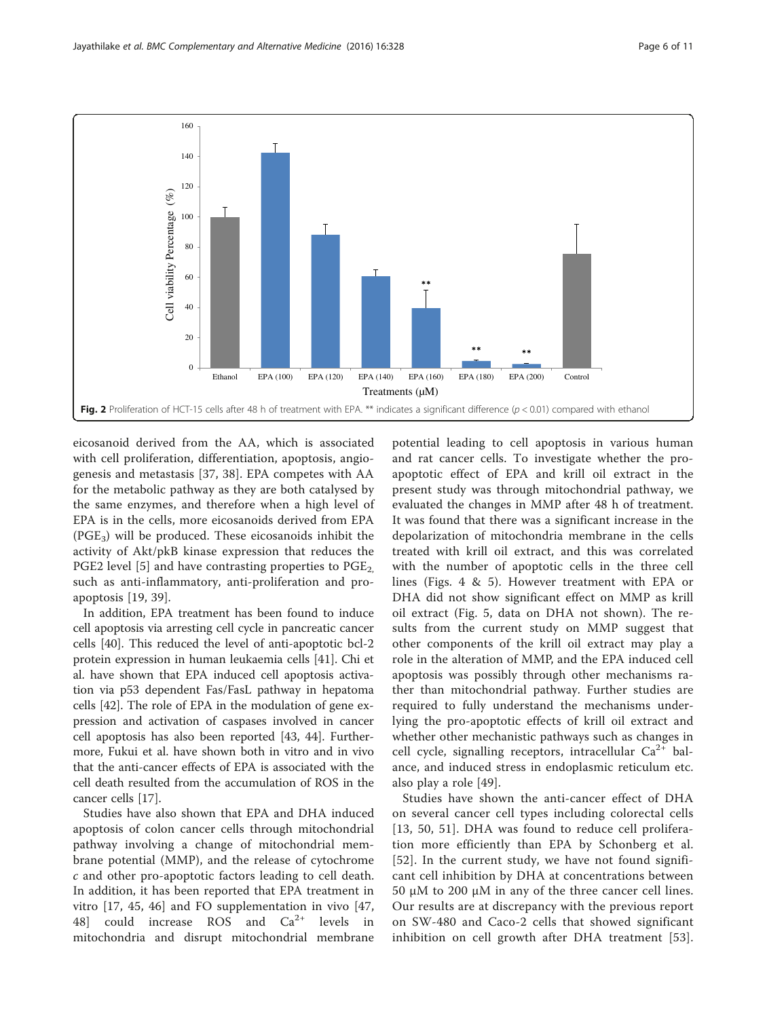<span id="page-5-0"></span>

eicosanoid derived from the AA, which is associated with cell proliferation, differentiation, apoptosis, angiogenesis and metastasis [\[37](#page-10-0), [38\]](#page-10-0). EPA competes with AA for the metabolic pathway as they are both catalysed by the same enzymes, and therefore when a high level of EPA is in the cells, more eicosanoids derived from EPA  $(PGE_3)$  will be produced. These eicosanoids inhibit the activity of Akt/pkB kinase expression that reduces the PGE2 level [[5](#page-9-0)] and have contrasting properties to  $PGE<sub>2</sub>$ such as anti-inflammatory, anti-proliferation and proapoptosis [\[19](#page-9-0), [39](#page-10-0)].

In addition, EPA treatment has been found to induce cell apoptosis via arresting cell cycle in pancreatic cancer cells [\[40](#page-10-0)]. This reduced the level of anti-apoptotic bcl-2 protein expression in human leukaemia cells [[41\]](#page-10-0). Chi et al. have shown that EPA induced cell apoptosis activation via p53 dependent Fas/FasL pathway in hepatoma cells [[42](#page-10-0)]. The role of EPA in the modulation of gene expression and activation of caspases involved in cancer cell apoptosis has also been reported [[43, 44\]](#page-10-0). Furthermore, Fukui et al. have shown both in vitro and in vivo that the anti-cancer effects of EPA is associated with the cell death resulted from the accumulation of ROS in the cancer cells [\[17\]](#page-9-0).

Studies have also shown that EPA and DHA induced apoptosis of colon cancer cells through mitochondrial pathway involving a change of mitochondrial membrane potential (MMP), and the release of cytochrome c and other pro-apoptotic factors leading to cell death. In addition, it has been reported that EPA treatment in vitro [\[17](#page-9-0), [45](#page-10-0), [46\]](#page-10-0) and FO supplementation in vivo [\[47](#page-10-0), [48\]](#page-10-0) could increase ROS and  $Ca^{2+}$  levels in mitochondria and disrupt mitochondrial membrane

potential leading to cell apoptosis in various human and rat cancer cells. To investigate whether the proapoptotic effect of EPA and krill oil extract in the present study was through mitochondrial pathway, we evaluated the changes in MMP after 48 h of treatment. It was found that there was a significant increase in the depolarization of mitochondria membrane in the cells treated with krill oil extract, and this was correlated with the number of apoptotic cells in the three cell lines (Figs. [4](#page-7-0) & [5](#page-8-0)). However treatment with EPA or DHA did not show significant effect on MMP as krill oil extract (Fig. [5](#page-8-0), data on DHA not shown). The results from the current study on MMP suggest that other components of the krill oil extract may play a role in the alteration of MMP, and the EPA induced cell apoptosis was possibly through other mechanisms rather than mitochondrial pathway. Further studies are required to fully understand the mechanisms underlying the pro-apoptotic effects of krill oil extract and whether other mechanistic pathways such as changes in cell cycle, signalling receptors, intracellular  $Ca^{2+}$  balance, and induced stress in endoplasmic reticulum etc. also play a role [[49\]](#page-10-0).

Studies have shown the anti-cancer effect of DHA on several cancer cell types including colorectal cells [[13](#page-9-0), [50, 51](#page-10-0)]. DHA was found to reduce cell proliferation more efficiently than EPA by Schonberg et al. [[52](#page-10-0)]. In the current study, we have not found significant cell inhibition by DHA at concentrations between 50 μM to 200 μM in any of the three cancer cell lines. Our results are at discrepancy with the previous report on SW-480 and Caco-2 cells that showed significant inhibition on cell growth after DHA treatment [[53](#page-10-0)].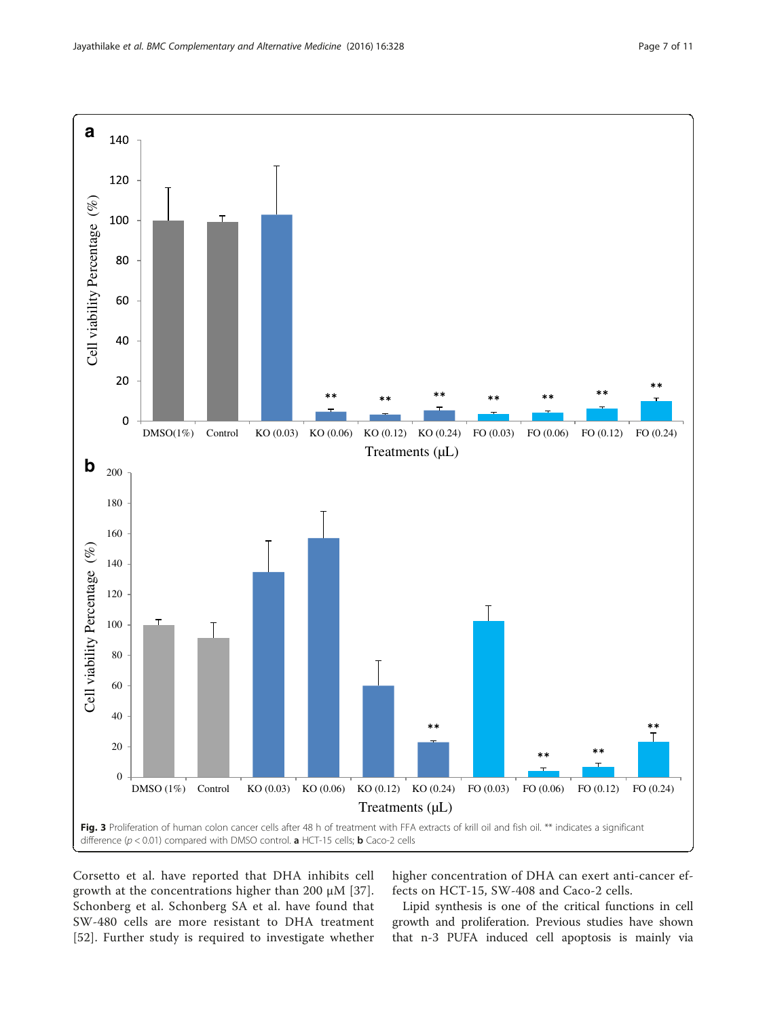<span id="page-6-0"></span>

Corsetto et al. have reported that DHA inhibits cell growth at the concentrations higher than 200 μM [[37](#page-10-0)]. Schonberg et al. Schonberg SA et al. have found that SW-480 cells are more resistant to DHA treatment [[52](#page-10-0)]. Further study is required to investigate whether

higher concentration of DHA can exert anti-cancer effects on HCT-15, SW-408 and Caco-2 cells.

Lipid synthesis is one of the critical functions in cell growth and proliferation. Previous studies have shown that n-3 PUFA induced cell apoptosis is mainly via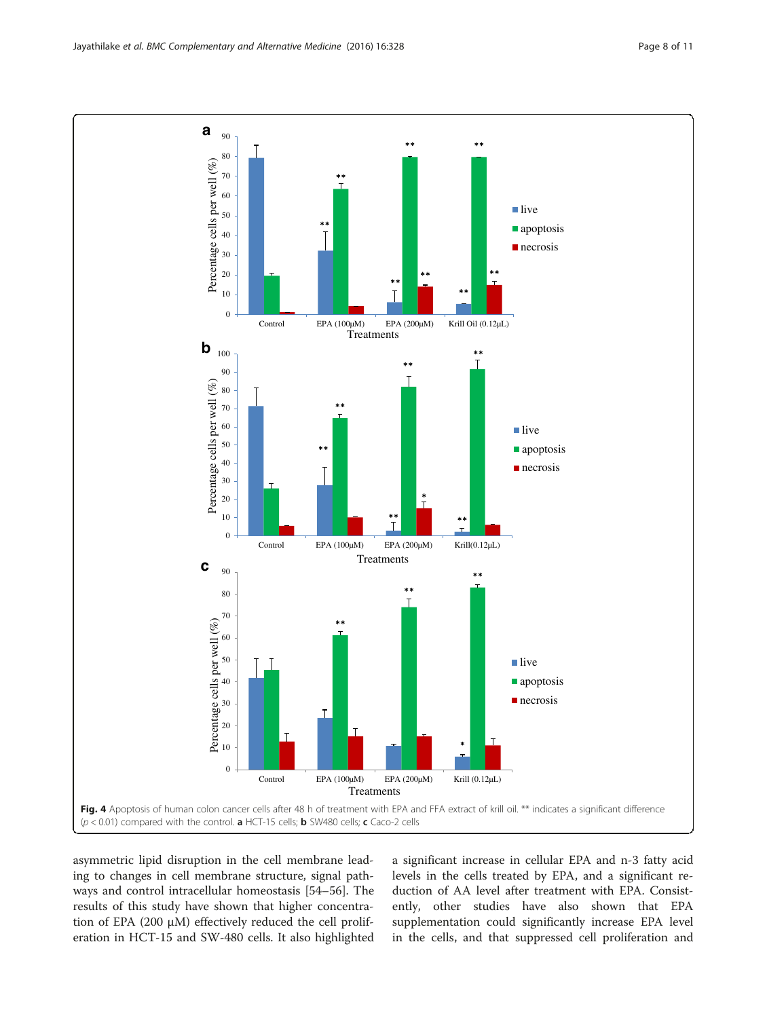asymmetric lipid disruption in the cell membrane leading to changes in cell membrane structure, signal pathways and control intracellular homeostasis [\[54](#page-10-0)–[56\]](#page-10-0). The results of this study have shown that higher concentration of EPA (200 μM) effectively reduced the cell proliferation in HCT-15 and SW-480 cells. It also highlighted

a significant increase in cellular EPA and n-3 fatty acid levels in the cells treated by EPA, and a significant reduction of AA level after treatment with EPA. Consistently, other studies have also shown that EPA supplementation could significantly increase EPA level in the cells, and that suppressed cell proliferation and

<span id="page-7-0"></span>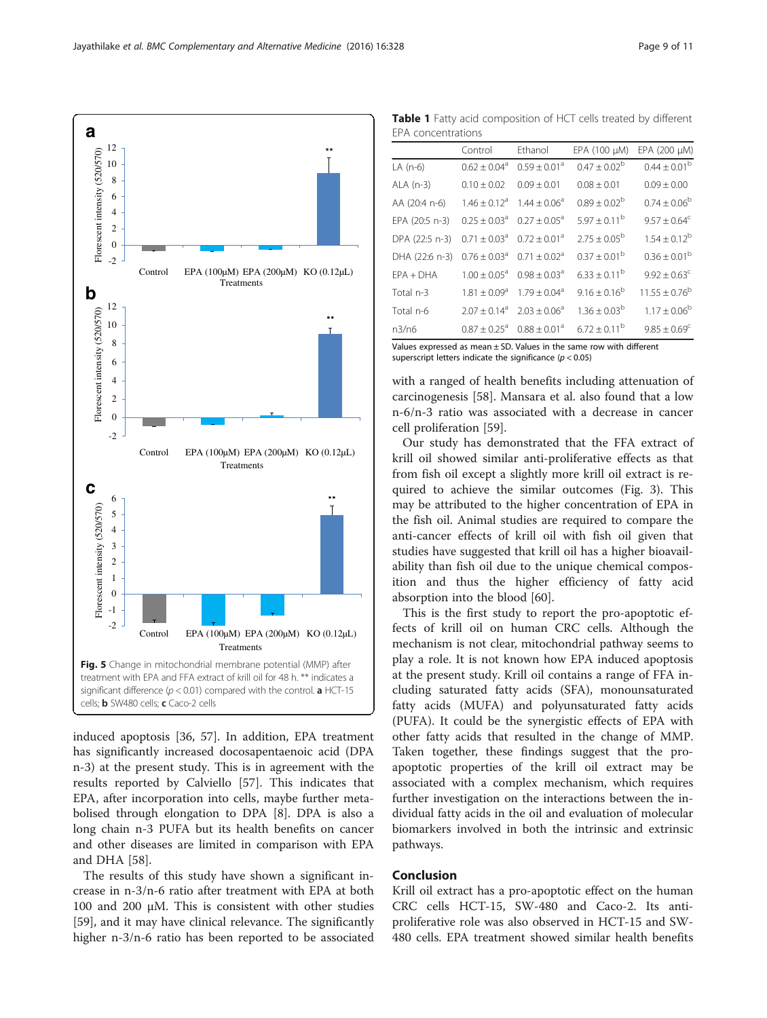induced apoptosis [[36](#page-10-0), [57\]](#page-10-0). In addition, EPA treatment has significantly increased docosapentaenoic acid (DPA n-3) at the present study. This is in agreement with the results reported by Calviello [[57](#page-10-0)]. This indicates that EPA, after incorporation into cells, maybe further metabolised through elongation to DPA [\[8](#page-9-0)]. DPA is also a long chain n-3 PUFA but its health benefits on cancer and other diseases are limited in comparison with EPA and DHA [[58](#page-10-0)].

The results of this study have shown a significant increase in n-3/n-6 ratio after treatment with EPA at both 100 and 200 μM. This is consistent with other studies [[59\]](#page-10-0), and it may have clinical relevance. The significantly higher n-3/n-6 ratio has been reported to be associated with a ranged of health benefits including attenuation of carcinogenesis [\[58](#page-10-0)]. Mansara et al. also found that a low n-6/n-3 ratio was associated with a decrease in cancer

superscript letters indicate the significance ( $p < 0.05$ )

cell proliferation [\[59](#page-10-0)].

Our study has demonstrated that the FFA extract of krill oil showed similar anti-proliferative effects as that from fish oil except a slightly more krill oil extract is required to achieve the similar outcomes (Fig. [3\)](#page-6-0). This may be attributed to the higher concentration of EPA in the fish oil. Animal studies are required to compare the anti-cancer effects of krill oil with fish oil given that studies have suggested that krill oil has a higher bioavailability than fish oil due to the unique chemical composition and thus the higher efficiency of fatty acid absorption into the blood [\[60](#page-10-0)].

This is the first study to report the pro-apoptotic effects of krill oil on human CRC cells. Although the mechanism is not clear, mitochondrial pathway seems to play a role. It is not known how EPA induced apoptosis at the present study. Krill oil contains a range of FFA including saturated fatty acids (SFA), monounsaturated fatty acids (MUFA) and polyunsaturated fatty acids (PUFA). It could be the synergistic effects of EPA with other fatty acids that resulted in the change of MMP. Taken together, these findings suggest that the proapoptotic properties of the krill oil extract may be associated with a complex mechanism, which requires further investigation on the interactions between the individual fatty acids in the oil and evaluation of molecular biomarkers involved in both the intrinsic and extrinsic pathways.

## Conclusion

Krill oil extract has a pro-apoptotic effect on the human CRC cells HCT-15, SW-480 and Caco-2. Its antiproliferative role was also observed in HCT-15 and SW-480 cells. EPA treatment showed similar health benefits

<span id="page-8-0"></span>

Table 1 Fatty acid composition of HCT cells treated by different EPA concentrations

|                                                                          | Control                      | Ethanol                      | EPA (100 µM)            | EPA (200 µM)                 |
|--------------------------------------------------------------------------|------------------------------|------------------------------|-------------------------|------------------------------|
| LA (n-6)                                                                 | $0.62 \pm 0.04$ <sup>a</sup> | $0.59 \pm 0.01^a$            | $0.47 \pm 0.02^b$       | $0.44 \pm 0.01^{\rm b}$      |
| $ALA$ (n-3)                                                              | $0.10 \pm 0.02$              | $0.09 \pm 0.01$              | $0.08 \pm 0.01$         | $0.09 \pm 0.00$              |
| AA (20:4 n-6)                                                            | $1.46 \pm 0.12$ <sup>a</sup> | $1.44 + 0.06^a$              | $0.89 + 0.02^b$         | $0.74 \pm 0.06^{\rm b}$      |
| EPA (20:5 n-3)                                                           | $0.25 + 0.03a$               | $0.27 + 0.05^a$              | $5.97 \pm 0.11^{\rm b}$ | $9.57 \pm 0.64$ <sup>c</sup> |
| DPA (22:5 n-3)                                                           | $0.71 \pm 0.03$ <sup>a</sup> | $0.72 \pm 0.01$ <sup>a</sup> | $2.75 + 0.05^{\rm b}$   | $1.54 \pm 0.12^b$            |
| DHA (22:6 n-3)                                                           | $0.76 \pm 0.03$ <sup>a</sup> | $0.71 + 0.02a$               | $0.37 \pm 0.01^{\rm b}$ | $0.36 \pm 0.01^{\rm b}$      |
| $FPA + DHA$                                                              | $1.00 + 0.05^{\circ}$        | $0.98 + 0.03a$               | $6.33 \pm 0.11^{\rm b}$ | $9.92 \pm 0.63$ <sup>c</sup> |
| Total n-3                                                                | $1.81 \pm 0.09^a$            | $1.79 + 0.04$ <sup>a</sup>   | $9.16 \pm 0.16^b$       | $11.55 \pm 0.76^b$           |
| Total n-6                                                                | $2.07 \pm 0.14^a$            | $2.03 + 0.06^a$              | $1.36 \pm 0.03^{\rm b}$ | $1.17 \pm 0.06^b$            |
| n3/n6                                                                    | $0.87 + 0.25$ <sup>a</sup>   | $0.88 \pm 0.01$ <sup>a</sup> | $6.72 + 0.11^b$         | $9.85 \pm 0.69^{\circ}$      |
| Values expressed as mean $\pm$ SD. Values in the same row with different |                              |                              |                         |                              |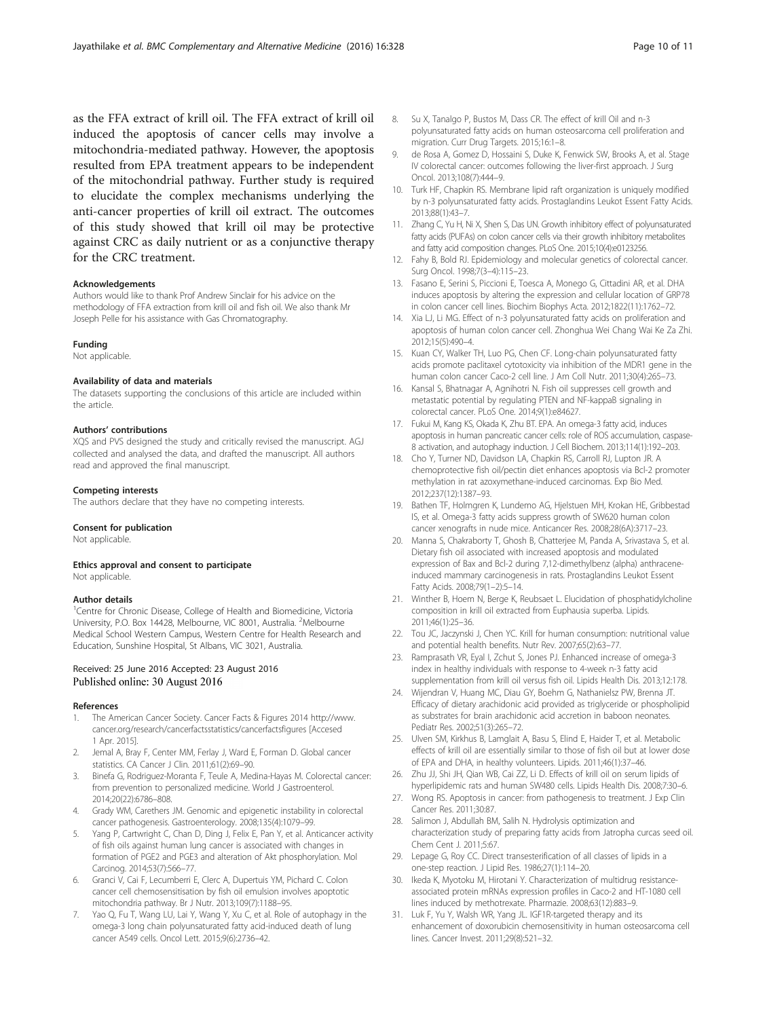<span id="page-9-0"></span>as the FFA extract of krill oil. The FFA extract of krill oil induced the apoptosis of cancer cells may involve a mitochondria-mediated pathway. However, the apoptosis resulted from EPA treatment appears to be independent of the mitochondrial pathway. Further study is required to elucidate the complex mechanisms underlying the anti-cancer properties of krill oil extract. The outcomes of this study showed that krill oil may be protective against CRC as daily nutrient or as a conjunctive therapy for the CRC treatment.

#### Acknowledgements

Authors would like to thank Prof Andrew Sinclair for his advice on the methodology of FFA extraction from krill oil and fish oil. We also thank Mr Joseph Pelle for his assistance with Gas Chromatography.

#### Funding

Not applicable.

#### Availability of data and materials

The datasets supporting the conclusions of this article are included within the article.

#### Authors' contributions

XQS and PVS designed the study and critically revised the manuscript. AGJ collected and analysed the data, and drafted the manuscript. All authors read and approved the final manuscript.

#### Competing interests

The authors declare that they have no competing interests.

#### Consent for publication

Not applicable.

#### Ethics approval and consent to participate

Not applicable.

#### Author details

<sup>1</sup>Centre for Chronic Disease, College of Health and Biomedicine, Victoria University, P.O. Box 14428, Melbourne, VIC 8001, Australia. <sup>2</sup>Melbourne Medical School Western Campus, Western Centre for Health Research and Education, Sunshine Hospital, St Albans, VIC 3021, Australia.

#### Received: 25 June 2016 Accepted: 23 August 2016 Published online: 30 August 2016

#### References

- 1. The American Cancer Society. Cancer Facts & Figures 2014 [http://www.](http://www.cancer.org/research/cancerfactsstatistics/cancerfactsfigures) [cancer.org/research/cancerfactsstatistics/cancerfactsfigures](http://www.cancer.org/research/cancerfactsstatistics/cancerfactsfigures) [Accesed 1 Apr. 2015].
- 2. Jemal A, Bray F, Center MM, Ferlay J, Ward E, Forman D. Global cancer statistics. CA Cancer J Clin. 2011;61(2):69–90.
- 3. Binefa G, Rodriguez-Moranta F, Teule A, Medina-Hayas M. Colorectal cancer: from prevention to personalized medicine. World J Gastroenterol. 2014;20(22):6786–808.
- 4. Grady WM, Carethers JM. Genomic and epigenetic instability in colorectal cancer pathogenesis. Gastroenterology. 2008;135(4):1079–99.
- 5. Yang P, Cartwright C, Chan D, Ding J, Felix E, Pan Y, et al. Anticancer activity of fish oils against human lung cancer is associated with changes in formation of PGE2 and PGE3 and alteration of Akt phosphorylation. Mol Carcinog. 2014;53(7):566–77.
- 6. Granci V, Cai F, Lecumberri E, Clerc A, Dupertuis YM, Pichard C. Colon cancer cell chemosensitisation by fish oil emulsion involves apoptotic mitochondria pathway. Br J Nutr. 2013;109(7):1188–95.
- Yao Q, Fu T, Wang LU, Lai Y, Wang Y, Xu C, et al. Role of autophagy in the omega-3 long chain polyunsaturated fatty acid-induced death of lung cancer A549 cells. Oncol Lett. 2015;9(6):2736–42.
- 8. Su X, Tanalgo P, Bustos M, Dass CR. The effect of krill Oil and n-3 polyunsaturated fatty acids on human osteosarcoma cell proliferation and migration. Curr Drug Targets. 2015;16:1–8.
- de Rosa A, Gomez D, Hossaini S, Duke K, Fenwick SW, Brooks A, et al. Stage IV colorectal cancer: outcomes following the liver-first approach. J Surg Oncol. 2013;108(7):444–9.
- 10. Turk HF, Chapkin RS. Membrane lipid raft organization is uniquely modified by n-3 polyunsaturated fatty acids. Prostaglandins Leukot Essent Fatty Acids. 2013;88(1):43–7.
- 11. Zhang C, Yu H, Ni X, Shen S, Das UN. Growth inhibitory effect of polyunsaturated fatty acids (PUFAs) on colon cancer cells via their growth inhibitory metabolites and fatty acid composition changes. PLoS One. 2015;10(4):e0123256.
- 12. Fahy B, Bold RJ. Epidemiology and molecular genetics of colorectal cancer. Surg Oncol. 1998;7(3–4):115–23.
- 13. Fasano E, Serini S, Piccioni E, Toesca A, Monego G, Cittadini AR, et al. DHA induces apoptosis by altering the expression and cellular location of GRP78 in colon cancer cell lines. Biochim Biophys Acta. 2012;1822(11):1762–72.
- 14. Xia LJ, Li MG. Effect of n-3 polyunsaturated fatty acids on proliferation and apoptosis of human colon cancer cell. Zhonghua Wei Chang Wai Ke Za Zhi. 2012;15(5):490–4.
- 15. Kuan CY, Walker TH, Luo PG, Chen CF. Long-chain polyunsaturated fatty acids promote paclitaxel cytotoxicity via inhibition of the MDR1 gene in the human colon cancer Caco-2 cell line. J Am Coll Nutr. 2011;30(4):265–73.
- 16. Kansal S, Bhatnagar A, Agnihotri N. Fish oil suppresses cell growth and metastatic potential by regulating PTEN and NF-kappaB signaling in colorectal cancer. PLoS One. 2014;9(1):e84627.
- 17. Fukui M, Kang KS, Okada K, Zhu BT. EPA. An omega-3 fatty acid, induces apoptosis in human pancreatic cancer cells: role of ROS accumulation, caspase-8 activation, and autophagy induction. J Cell Biochem. 2013;114(1):192–203.
- 18. Cho Y, Turner ND, Davidson LA, Chapkin RS, Carroll RJ, Lupton JR. A chemoprotective fish oil/pectin diet enhances apoptosis via Bcl-2 promoter methylation in rat azoxymethane-induced carcinomas. Exp Bio Med. 2012;237(12):1387–93.
- 19. Bathen TF, Holmgren K, Lundemo AG, Hjelstuen MH, Krokan HE, Gribbestad IS, et al. Omega-3 fatty acids suppress growth of SW620 human colon cancer xenografts in nude mice. Anticancer Res. 2008;28(6A):3717–23.
- 20. Manna S, Chakraborty T, Ghosh B, Chatterjee M, Panda A, Srivastava S, et al. Dietary fish oil associated with increased apoptosis and modulated expression of Bax and Bcl-2 during 7,12-dimethylbenz (alpha) anthraceneinduced mammary carcinogenesis in rats. Prostaglandins Leukot Essent Fatty Acids. 2008;79(1–2):5–14.
- 21. Winther B, Hoem N, Berge K, Reubsaet L. Elucidation of phosphatidylcholine composition in krill oil extracted from Euphausia superba. Lipids. 2011;46(1):25–36.
- 22. Tou JC, Jaczynski J, Chen YC. Krill for human consumption: nutritional value and potential health benefits. Nutr Rev. 2007;65(2):63–77.
- 23. Ramprasath VR, Eyal I, Zchut S, Jones PJ. Enhanced increase of omega-3 index in healthy individuals with response to 4-week n-3 fatty acid supplementation from krill oil versus fish oil. Lipids Health Dis. 2013;12:178.
- 24. Wijendran V, Huang MC, Diau GY, Boehm G, Nathanielsz PW, Brenna JT. Efficacy of dietary arachidonic acid provided as triglyceride or phospholipid as substrates for brain arachidonic acid accretion in baboon neonates. Pediatr Res. 2002;51(3):265–72.
- 25. Ulven SM, Kirkhus B, Lamglait A, Basu S, Elind E, Haider T, et al. Metabolic effects of krill oil are essentially similar to those of fish oil but at lower dose of EPA and DHA, in healthy volunteers. Lipids. 2011;46(1):37–46.
- 26. Zhu JJ, Shi JH, Qian WB, Cai ZZ, Li D. Effects of krill oil on serum lipids of hyperlipidemic rats and human SW480 cells. Lipids Health Dis. 2008;7:30–6.
- 27. Wong RS. Apoptosis in cancer: from pathogenesis to treatment. J Exp Clin Cancer Res. 2011;30:87.
- 28. Salimon J, Abdullah BM, Salih N. Hydrolysis optimization and characterization study of preparing fatty acids from Jatropha curcas seed oil. Chem Cent J. 2011;5:67.
- 29. Lepage G, Roy CC. Direct transesterification of all classes of lipids in a one-step reaction. J Lipid Res. 1986;27(1):114–20.
- 30. Ikeda K, Myotoku M, Hirotani Y. Characterization of multidrug resistanceassociated protein mRNAs expression profiles in Caco-2 and HT-1080 cell lines induced by methotrexate. Pharmazie. 2008;63(12):883–9.
- 31. Luk F, Yu Y, Walsh WR, Yang JL. IGF1R-targeted therapy and its enhancement of doxorubicin chemosensitivity in human osteosarcoma cell lines. Cancer Invest. 2011;29(8):521–32.